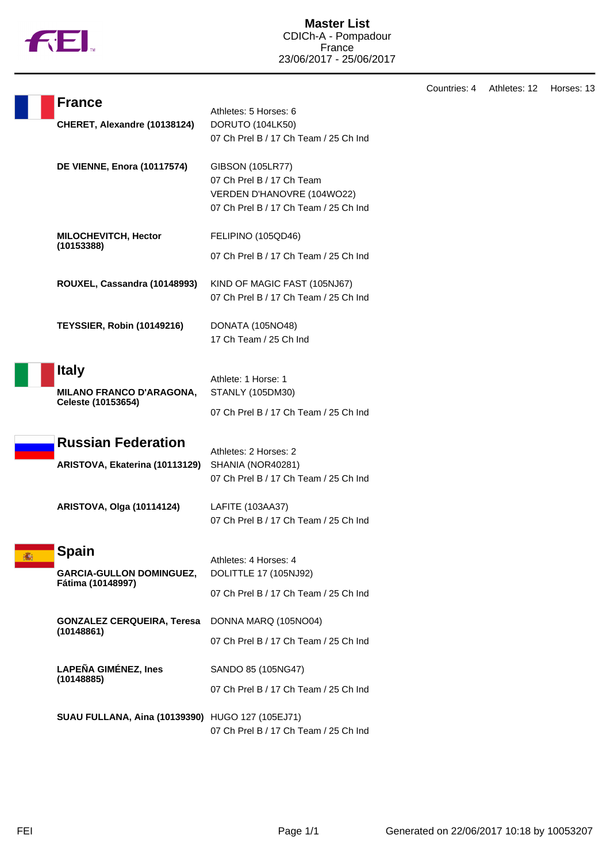

Countries: 4 Athletes: 12 Horses: 13

|   | <b>France</b>                                         | Athletes: 5 Horses: 6                                                                                                       |
|---|-------------------------------------------------------|-----------------------------------------------------------------------------------------------------------------------------|
|   | CHERET, Alexandre (10138124)                          | DORUTO (104LK50)<br>07 Ch Prel B / 17 Ch Team / 25 Ch Ind                                                                   |
|   | <b>DE VIENNE, Enora (10117574)</b>                    | <b>GIBSON (105LR77)</b><br>07 Ch Prel B / 17 Ch Team<br>VERDEN D'HANOVRE (104WO22)<br>07 Ch Prel B / 17 Ch Team / 25 Ch Ind |
|   | <b>MILOCHEVITCH, Hector</b><br>(10153388)             | FELIPINO (105QD46)                                                                                                          |
|   |                                                       | 07 Ch Prel B / 17 Ch Team / 25 Ch Ind                                                                                       |
|   | ROUXEL, Cassandra (10148993)                          | KIND OF MAGIC FAST (105NJ67)<br>07 Ch Prel B / 17 Ch Team / 25 Ch Ind                                                       |
|   | <b>TEYSSIER, Robin (10149216)</b>                     | DONATA (105NO48)<br>17 Ch Team / 25 Ch Ind                                                                                  |
|   | <b>Italy</b>                                          |                                                                                                                             |
|   | <b>MILANO FRANCO D'ARAGONA,</b><br>Celeste (10153654) | Athlete: 1 Horse: 1<br>STANLY (105DM30)                                                                                     |
|   |                                                       | 07 Ch Prel B / 17 Ch Team / 25 Ch Ind                                                                                       |
|   | <b>Russian Federation</b>                             | Athletes: 2 Horses: 2                                                                                                       |
|   | ARISTOVA, Ekaterina (10113129)                        | SHANIA (NOR40281)<br>07 Ch Prel B / 17 Ch Team / 25 Ch Ind                                                                  |
|   | <b>ARISTOVA, Olga (10114124)</b>                      | LAFITE (103AA37)<br>07 Ch Prel B / 17 Ch Team / 25 Ch Ind                                                                   |
|   | Spain                                                 |                                                                                                                             |
| 攝 | <b>GARCIA-GULLON DOMINGUEZ,</b>                       | Athletes: 4 Horses: 4<br>DOLITTLE 17 (105NJ92)                                                                              |
|   | Fátima (10148997)                                     | 07 Ch Prel B / 17 Ch Team / 25 Ch Ind                                                                                       |
|   | <b>GONZALEZ CERQUEIRA, Teresa</b><br>(10148861)       | DONNA MARQ (105NO04)                                                                                                        |
|   |                                                       | 07 Ch Prel B / 17 Ch Team / 25 Ch Ind                                                                                       |
|   | <b>LAPEÑA GIMÉNEZ, Ines</b><br>(10148885)             | SANDO 85 (105NG47)                                                                                                          |
|   |                                                       | 07 Ch Prel B / 17 Ch Team / 25 Ch Ind                                                                                       |
|   | SUAU FULLANA, Aina (10139390) HUGO 127 (105EJ71)      | 07 Ch Prel B / 17 Ch Team / 25 Ch Ind                                                                                       |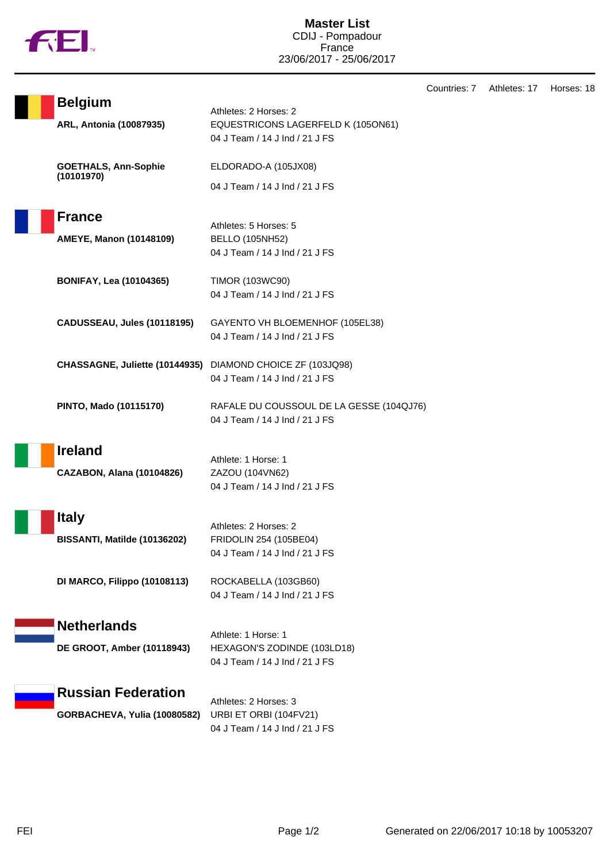

Countries: 7 Athletes: 17 Horses: 18

| <b>Belgium</b><br>ARL, Antonia (10087935)                  | Athletes: 2 Horses: 2<br>EQUESTRICONS LAGERFELD K (105ON61)<br>04 J Team / 14 J Ind / 21 J FS |
|------------------------------------------------------------|-----------------------------------------------------------------------------------------------|
| <b>GOETHALS, Ann-Sophie</b><br>(10101970)                  | ELDORADO-A (105JX08)<br>04 J Team / 14 J Ind / 21 J FS                                        |
| <b>France</b><br>AMEYE, Manon (10148109)                   | Athletes: 5 Horses: 5<br><b>BELLO (105NH52)</b><br>04 J Team / 14 J Ind / 21 J FS             |
| <b>BONIFAY, Lea (10104365)</b>                             | <b>TIMOR (103WC90)</b><br>04 J Team / 14 J Ind / 21 J FS                                      |
| CADUSSEAU, Jules (10118195)                                | GAYENTO VH BLOEMENHOF (105EL38)<br>04 J Team / 14 J Ind / 21 J FS                             |
| CHASSAGNE, Juliette (10144935) DIAMOND CHOICE ZF (103JQ98) | 04 J Team / 14 J Ind / 21 J FS                                                                |
| PINTO, Mado (10115170)                                     | RAFALE DU COUSSOUL DE LA GESSE (104QJ76)<br>04 J Team / 14 J Ind / 21 J FS                    |
| <b>Ireland</b><br><b>CAZABON, Alana (10104826)</b>         | Athlete: 1 Horse: 1<br>ZAZOU (104VN62)<br>04 J Team / 14 J Ind / 21 J FS                      |
| <b>Italy</b><br>BISSANTI, Matilde (10136202)               | Athletes: 2 Horses: 2<br>FRIDOLIN 254 (105BE04)<br>04 J Team / 14 J Ind / 21 J FS             |
| <b>DI MARCO, Filippo (10108113)</b>                        | ROCKABELLA (103GB60)<br>04 J Team / 14 J Ind / 21 J FS                                        |
| <b>Netherlands</b><br>DE GROOT, Amber (10118943)           | Athlete: 1 Horse: 1<br>HEXAGON'S ZODINDE (103LD18)<br>04 J Team / 14 J Ind / 21 J FS          |
| <b>Russian Federation</b><br>GORBACHEVA, Yulia (10080582)  | Athletes: 2 Horses: 3<br>URBI ET ORBI (104FV21)<br>04 J Team / 14 J Ind / 21 J FS             |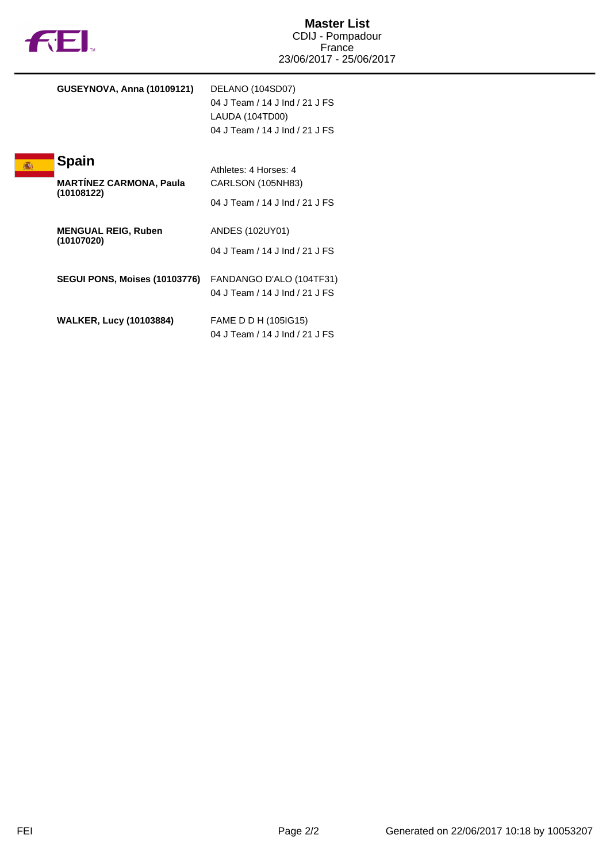|  | M |
|--|---|
|  |   |

| <b>GUSEYNOVA, Anna (10109121)</b>                            | DELANO (104SD07)<br>04 J Team / 14 J Ind / 21 J FS<br>LAUDA (104TD00)<br>04 J Team / 14 J Ind / 21 J FS |
|--------------------------------------------------------------|---------------------------------------------------------------------------------------------------------|
| <b>Spain</b><br><b>MARTINEZ CARMONA, Paula</b><br>(10108122) | Athletes: 4 Horses: 4<br>CARLSON (105NH83)<br>04 J Team / 14 J Ind / 21 J FS                            |
| <b>MENGUAL REIG, Ruben</b><br>(10107020)                     | ANDES (102UY01)<br>04 J Team / 14 J Ind / 21 J FS                                                       |
| <b>SEGUI PONS, Moises (10103776)</b>                         | FANDANGO D'ALO (104TF31)<br>04 J Team / 14 J Ind / 21 J FS                                              |
| <b>WALKER, Lucy (10103884)</b>                               | FAME D D H (105IG15)<br>04 J Team / 14 J Ind / 21 J FS                                                  |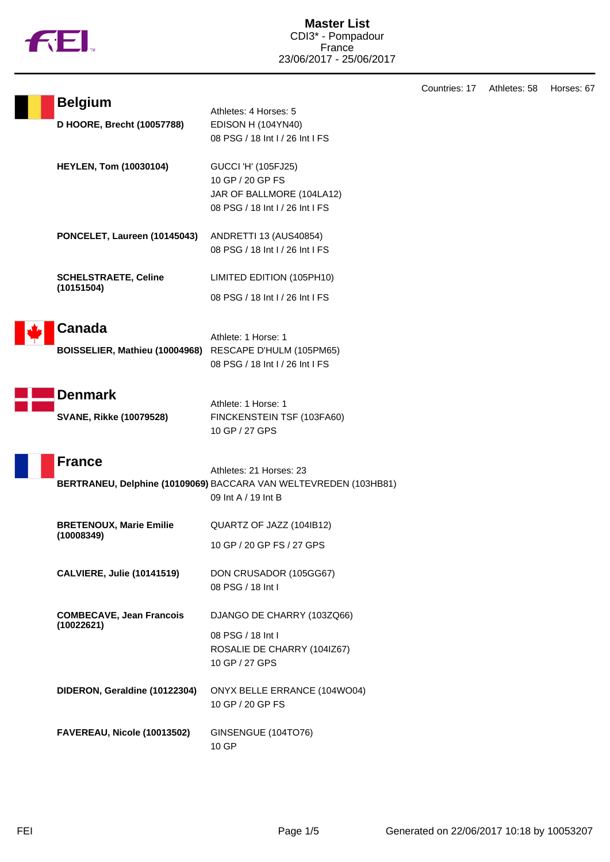|  | M |
|--|---|

|                                                         |                                                                  | Countries: 17 | Athletes: 58 | Horses: 67 |
|---------------------------------------------------------|------------------------------------------------------------------|---------------|--------------|------------|
| <b>Belgium</b>                                          | Athletes: 4 Horses: 5                                            |               |              |            |
| D HOORE, Brecht (10057788)                              | <b>EDISON H (104YN40)</b>                                        |               |              |            |
|                                                         | 08 PSG / 18 Int I / 26 Int I FS                                  |               |              |            |
| <b>HEYLEN, Tom (10030104)</b>                           | GUCCI 'H' (105FJ25)                                              |               |              |            |
|                                                         | 10 GP / 20 GP FS                                                 |               |              |            |
|                                                         | JAR OF BALLMORE (104LA12)                                        |               |              |            |
|                                                         | 08 PSG / 18 Int I / 26 Int I FS                                  |               |              |            |
| PONCELET, Laureen (10145043)                            | ANDRETTI 13 (AUS40854)                                           |               |              |            |
|                                                         | 08 PSG / 18 Int I / 26 Int I FS                                  |               |              |            |
| <b>SCHELSTRAETE, Celine</b>                             | LIMITED EDITION (105PH10)                                        |               |              |            |
| (10151504)                                              | 08 PSG / 18 Int I / 26 Int I FS                                  |               |              |            |
| <b>Canada</b>                                           |                                                                  |               |              |            |
|                                                         | Athlete: 1 Horse: 1                                              |               |              |            |
| BOISSELIER, Mathieu (10004968) RESCAPE D'HULM (105PM65) |                                                                  |               |              |            |
|                                                         | 08 PSG / 18 Int I / 26 Int I FS                                  |               |              |            |
| <b>Denmark</b>                                          |                                                                  |               |              |            |
|                                                         | Athlete: 1 Horse: 1                                              |               |              |            |
| <b>SVANE, Rikke (10079528)</b>                          | FINCKENSTEIN TSF (103FA60)<br>10 GP / 27 GPS                     |               |              |            |
|                                                         |                                                                  |               |              |            |
| <b>France</b>                                           | Athletes: 21 Horses: 23                                          |               |              |            |
|                                                         | BERTRANEU, Delphine (10109069) BACCARA VAN WELTEVREDEN (103HB81) |               |              |            |
|                                                         | 09 Int A / 19 Int B                                              |               |              |            |
| <b>BRETENOUX, Marie Emilie</b>                          | QUARTZ OF JAZZ (104IB12)                                         |               |              |            |
| (10008349)                                              | 10 GP / 20 GP FS / 27 GPS                                        |               |              |            |
| <b>CALVIERE, Julie (10141519)</b>                       | DON CRUSADOR (105GG67)                                           |               |              |            |
|                                                         | 08 PSG / 18 Int I                                                |               |              |            |
| <b>COMBECAVE, Jean Francois</b>                         | DJANGO DE CHARRY (103ZQ66)                                       |               |              |            |
| (10022621)                                              | 08 PSG / 18 Int I                                                |               |              |            |
|                                                         | ROSALIE DE CHARRY (104IZ67)                                      |               |              |            |
|                                                         | 10 GP / 27 GPS                                                   |               |              |            |
| DIDERON, Geraldine (10122304)                           | ONYX BELLE ERRANCE (104WO04)                                     |               |              |            |
|                                                         | 10 GP / 20 GP FS                                                 |               |              |            |
| FAVEREAU, Nicole (10013502)                             | GINSENGUE (104TO76)                                              |               |              |            |
|                                                         | 10 GP                                                            |               |              |            |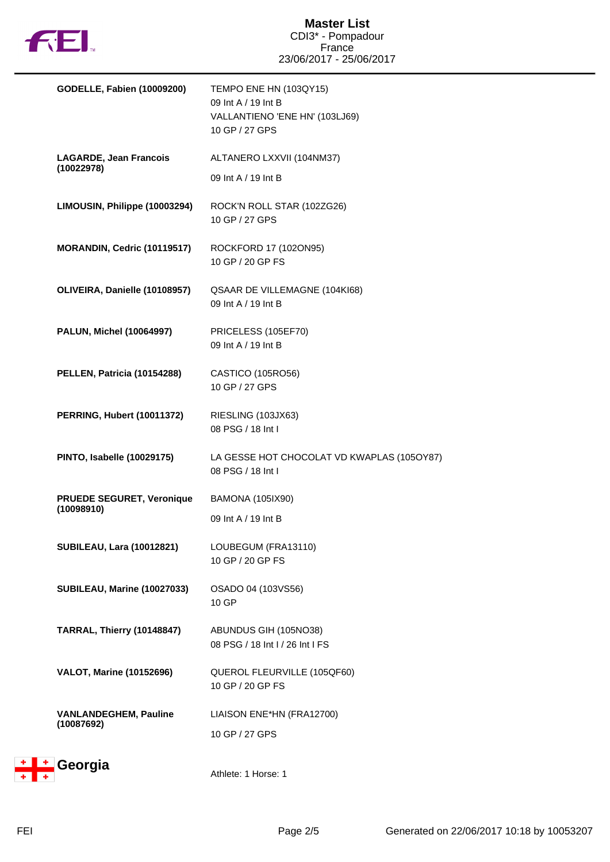

| <b>GODELLE, Fabien (10009200)</b>              | TEMPO ENE HN (103QY15)<br>09 Int A / 19 Int B<br>VALLANTIENO 'ENE HN' (103LJ69)<br>10 GP / 27 GPS |
|------------------------------------------------|---------------------------------------------------------------------------------------------------|
| <b>LAGARDE, Jean Francois</b><br>(10022978)    | ALTANERO LXXVII (104NM37)                                                                         |
|                                                | 09 Int A / 19 Int B                                                                               |
| LIMOUSIN, Philippe (10003294)                  | ROCK'N ROLL STAR (102ZG26)<br>10 GP / 27 GPS                                                      |
| MORANDIN, Cedric (10119517)                    | ROCKFORD 17 (102ON95)<br>10 GP / 20 GP FS                                                         |
| OLIVEIRA, Danielle (10108957)                  | QSAAR DE VILLEMAGNE (104KI68)<br>09 Int A / 19 Int B                                              |
| <b>PALUN, Michel (10064997)</b>                | PRICELESS (105EF70)<br>09 Int A / 19 Int B                                                        |
| PELLEN, Patricia (10154288)                    | CASTICO (105RO56)<br>10 GP / 27 GPS                                                               |
| <b>PERRING, Hubert (10011372)</b>              | RIESLING (103JX63)<br>08 PSG / 18 Int I                                                           |
| <b>PINTO, Isabelle (10029175)</b>              | LA GESSE HOT CHOCOLAT VD KWAPLAS (105OY87)<br>08 PSG / 18 Int I                                   |
| <b>PRUEDE SEGURET, Veronique</b><br>(10098910) | <b>BAMONA (105IX90)</b>                                                                           |
|                                                | 09 Int A / 19 Int B                                                                               |
| <b>SUBILEAU, Lara (10012821)</b>               | LOUBEGUM (FRA13110)<br>10 GP / 20 GP FS                                                           |
| SUBILEAU, Marine (10027033)                    | OSADO 04 (103VS56)<br>10 GP                                                                       |
| <b>TARRAL, Thierry (10148847)</b>              | ABUNDUS GIH (105NO38)<br>08 PSG / 18 Int I / 26 Int I FS                                          |
| <b>VALOT, Marine (10152696)</b>                | QUEROL FLEURVILLE (105QF60)<br>10 GP / 20 GP FS                                                   |
| <b>VANLANDEGHEM, Pauline</b><br>(10087692)     | LIAISON ENE*HN (FRA12700)                                                                         |
|                                                | 10 GP / 27 GPS                                                                                    |
| Georgia                                        | Athlete: 1 Horse: 1                                                                               |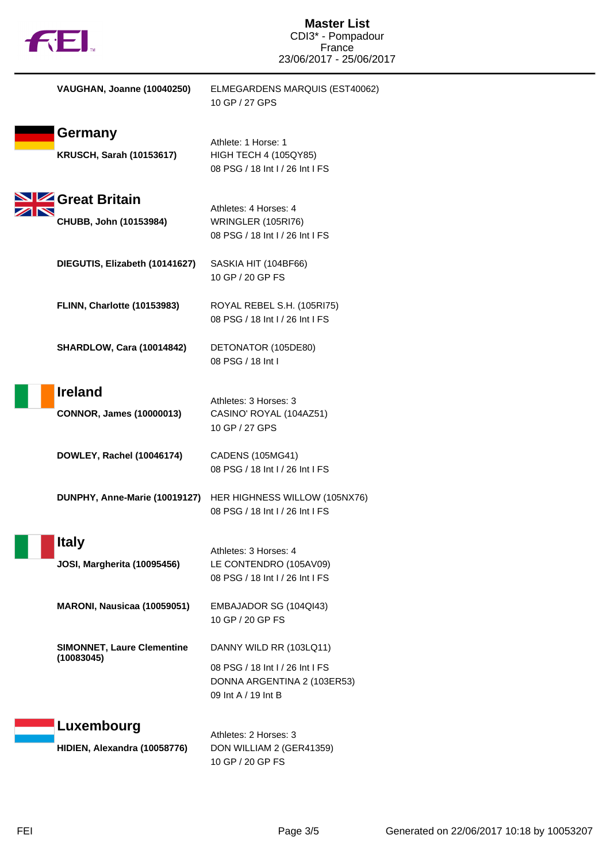| VAUGHAN, Joanne (10040250) | ELMEGARDENS MARQUIS (EST40062)<br>10 GP / 27 GPS |
|----------------------------|--------------------------------------------------|
|                            |                                                  |

| Germany                                         | Athlete: 1 Horse: 1                                                                   |
|-------------------------------------------------|---------------------------------------------------------------------------------------|
| <b>KRUSCH, Sarah (10153617)</b>                 | <b>HIGH TECH 4 (105QY85)</b><br>08 PSG / 18 Int I / 26 Int I FS                       |
| Great Britain                                   | Athletes: 4 Horses: 4                                                                 |
| CHUBB, John (10153984)                          | WRINGLER (105RI76)<br>08 PSG / 18 Int I / 26 Int I FS                                 |
| DIEGUTIS, Elizabeth (10141627)                  | SASKIA HIT (104BF66)<br>10 GP / 20 GP FS                                              |
| FLINN, Charlotte (10153983)                     | ROYAL REBEL S.H. (105RI75)<br>08 PSG / 18 Int I / 26 Int I FS                         |
| <b>SHARDLOW, Cara (10014842)</b>                | DETONATOR (105DE80)<br>08 PSG / 18 Int I                                              |
| <b>Ireland</b>                                  | Athletes: 3 Horses: 3                                                                 |
| <b>CONNOR, James (10000013)</b>                 | CASINO' ROYAL (104AZ51)<br>10 GP / 27 GPS                                             |
| DOWLEY, Rachel (10046174)                       | CADENS (105MG41)<br>08 PSG / 18 Int I / 26 Int I FS                                   |
| DUNPHY, Anne-Marie (10019127)                   | HER HIGHNESS WILLOW (105NX76)<br>08 PSG / 18 Int I / 26 Int I FS                      |
| <b>Italy</b>                                    | Athletes: 3 Horses: 4                                                                 |
| <b>JOSI, Margherita (10095456)</b>              | LE CONTENDRO (105AV09)<br>08 PSG / 18 Int I / 26 Int I FS                             |
| MARONI, Nausicaa (10059051)                     | EMBAJADOR SG (104QI43)<br>10 GP / 20 GP FS                                            |
| <b>SIMONNET, Laure Clementine</b><br>(10083045) | DANNY WILD RR (103LQ11)                                                               |
|                                                 | 08 PSG / 18 Int I / 26 Int I FS<br>DONNA ARGENTINA 2 (103ER53)<br>09 Int A / 19 Int B |
| Luxembourg                                      |                                                                                       |
| HIDIEN, Alexandra (10058776)                    | Athletes: 2 Horses: 3<br>DON WILLIAM 2 (GER41359)<br>10 GP / 20 GP FS                 |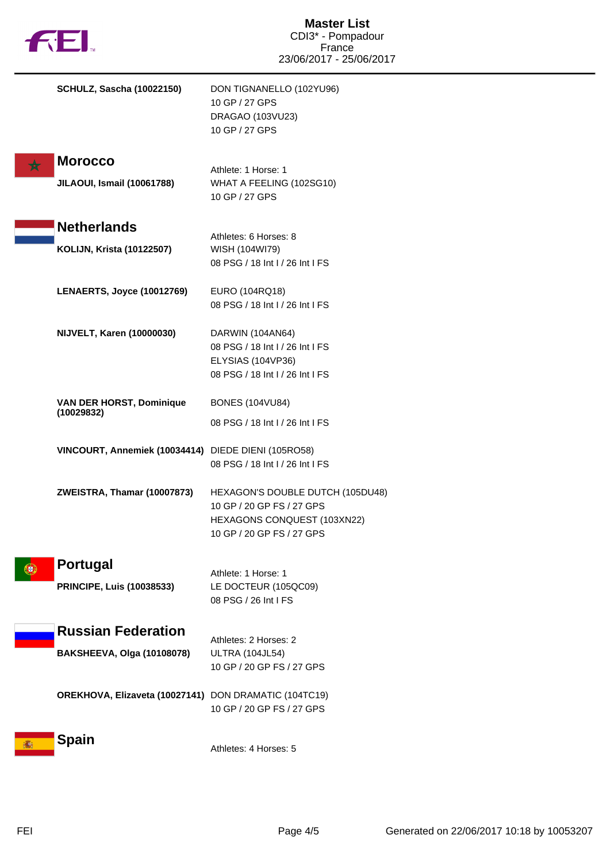|              |                                                       | <b>Master List</b><br>CDI3* - Pompadour                  |
|--------------|-------------------------------------------------------|----------------------------------------------------------|
| <b>THEI.</b> |                                                       | France                                                   |
|              |                                                       | 23/06/2017 - 25/06/2017                                  |
|              | <b>SCHULZ, Sascha (10022150)</b>                      | DON TIGNANELLO (102YU96)                                 |
|              |                                                       | 10 GP / 27 GPS                                           |
|              |                                                       | DRAGAO (103VU23)                                         |
|              |                                                       | 10 GP / 27 GPS                                           |
|              | <b>Morocco</b>                                        |                                                          |
|              | <b>JILAOUI, Ismail (10061788)</b>                     | Athlete: 1 Horse: 1<br>WHAT A FEELING (102SG10)          |
|              |                                                       | 10 GP / 27 GPS                                           |
|              |                                                       |                                                          |
|              | <b>Netherlands</b>                                    | Athletes: 6 Horses: 8                                    |
|              | <b>KOLIJN, Krista (10122507)</b>                      | WISH (104WI79)                                           |
|              |                                                       | 08 PSG / 18 Int I / 26 Int I FS                          |
|              |                                                       |                                                          |
|              | <b>LENAERTS, Joyce (10012769)</b>                     | EURO (104RQ18)                                           |
|              |                                                       | 08 PSG / 18 Int I / 26 Int I FS                          |
|              | <b>NIJVELT, Karen (10000030)</b>                      | DARWIN (104AN64)                                         |
|              |                                                       | 08 PSG / 18 Int I / 26 Int I FS                          |
|              |                                                       | ELYSIAS (104VP36)                                        |
|              |                                                       | 08 PSG / 18 Int I / 26 Int I FS                          |
|              | <b>VAN DER HORST, Dominique</b>                       | <b>BONES (104VU84)</b>                                   |
|              | (10029832)                                            | 08 PSG / 18 Int I / 26 Int I FS                          |
|              | VINCOURT, Annemiek (10034414) DIEDE DIENI (105RO58)   |                                                          |
|              |                                                       | 08 PSG / 18 Int I / 26 Int I FS                          |
|              |                                                       |                                                          |
|              | ZWEISTRA, Thamar (10007873)                           | HEXAGON'S DOUBLE DUTCH (105DU48)                         |
|              |                                                       | 10 GP / 20 GP FS / 27 GPS                                |
|              |                                                       | HEXAGONS CONQUEST (103XN22)<br>10 GP / 20 GP FS / 27 GPS |
|              |                                                       |                                                          |
| HĐ.          | <b>Portugal</b>                                       |                                                          |
|              |                                                       | Athlete: 1 Horse: 1                                      |
|              | <b>PRINCIPE, Luis (10038533)</b>                      | LE DOCTEUR (105QC09)<br>08 PSG / 26 Int I FS             |
|              |                                                       |                                                          |
|              | <b>Russian Federation</b>                             | Athletes: 2 Horses: 2                                    |
|              | <b>BAKSHEEVA, Olga (10108078)</b>                     | <b>ULTRA (104JL54)</b>                                   |
|              |                                                       | 10 GP / 20 GP FS / 27 GPS                                |
|              |                                                       |                                                          |
|              | OREKHOVA, Elizaveta (10027141) DON DRAMATIC (104TC19) | 10 GP / 20 GP FS / 27 GPS                                |
|              |                                                       |                                                          |
|              | <b>Spain</b>                                          |                                                          |
|              |                                                       | Athletes: 4 Horses: 5                                    |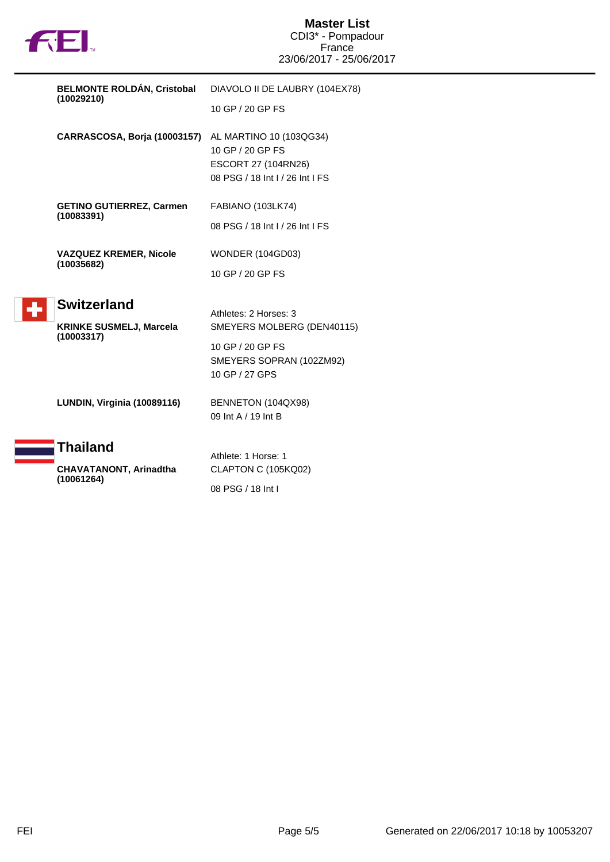

|  | <b>BELMONTE ROLDAN, Cristobal</b><br>(10029210) | DIAVOLO II DE LAUBRY (104EX78)                                                                        |
|--|-------------------------------------------------|-------------------------------------------------------------------------------------------------------|
|  |                                                 | 10 GP / 20 GP FS                                                                                      |
|  | CARRASCOSA, Borja (10003157)                    | AL MARTINO 10 (103QG34)<br>10 GP / 20 GP FS<br>ESCORT 27 (104RN26)<br>08 PSG / 18 Int I / 26 Int I FS |
|  | <b>GETINO GUTIERREZ, Carmen</b>                 | FABIANO (103LK74)                                                                                     |
|  | (10083391)                                      | 08 PSG / 18 Int I / 26 Int I FS                                                                       |
|  | <b>VAZQUEZ KREMER, Nicole</b><br>(10035682)     | <b>WONDER (104GD03)</b>                                                                               |
|  |                                                 | 10 GP / 20 GP FS                                                                                      |
|  | <b>Switzerland</b>                              | Athletes: 2 Horses: 3                                                                                 |
|  | <b>KRINKE SUSMELJ, Marcela</b><br>(10003317)    | SMEYERS MOLBERG (DEN40115)                                                                            |
|  |                                                 | 10 GP / 20 GP FS<br>SMEYERS SOPRAN (102ZM92)<br>10 GP / 27 GPS                                        |
|  | LUNDIN, Virginia (10089116)                     | BENNETON (104QX98)<br>09 Int A / 19 Int B                                                             |
|  | Thailand                                        | Athlete: 1 Horse: 1                                                                                   |
|  | <b>CHAVATANONT, Arinadtha</b><br>(10061264)     | CLAPTON C (105KQ02)                                                                                   |
|  |                                                 |                                                                                                       |

08 PSG / 18 Int I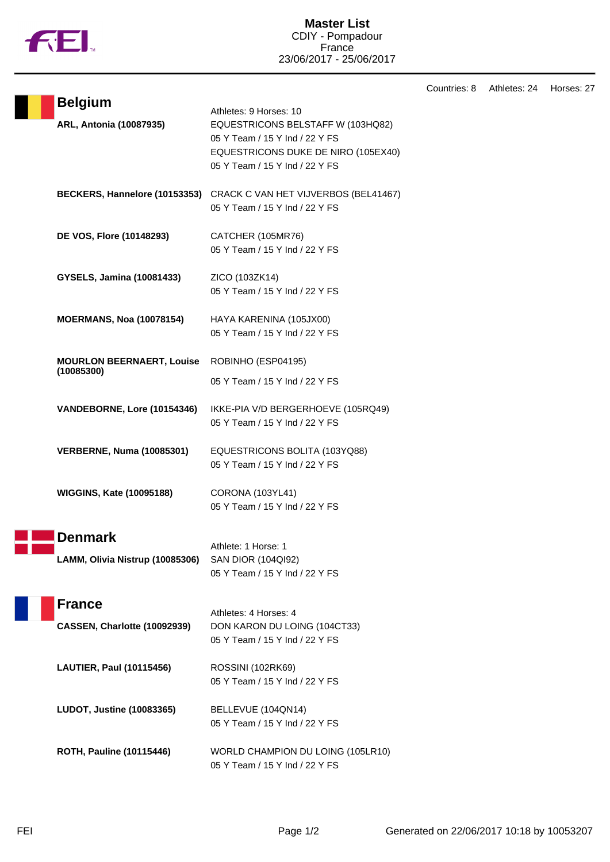

## **Master List** CDIY - Pompadour France 23/06/2017 - 25/06/2017

|                                                   |                                                                                                                                                                        | Countries: 8 | Athletes: 24 | Horses: 27 |
|---------------------------------------------------|------------------------------------------------------------------------------------------------------------------------------------------------------------------------|--------------|--------------|------------|
| <b>Belgium</b><br>ARL, Antonia (10087935)         | Athletes: 9 Horses: 10<br>EQUESTRICONS BELSTAFF W (103HQ82)<br>05 Y Team / 15 Y Ind / 22 Y FS<br>EQUESTRICONS DUKE DE NIRO (105EX40)<br>05 Y Team / 15 Y Ind / 22 Y FS |              |              |            |
|                                                   | BECKERS, Hannelore (10153353) CRACK C VAN HET VIJVERBOS (BEL41467)<br>05 Y Team / 15 Y Ind / 22 Y FS                                                                   |              |              |            |
| DE VOS, Flore (10148293)                          | CATCHER (105MR76)<br>05 Y Team / 15 Y Ind / 22 Y FS                                                                                                                    |              |              |            |
| GYSELS, Jamina (10081433)                         | ZICO (103ZK14)<br>05 Y Team / 15 Y Ind / 22 Y FS                                                                                                                       |              |              |            |
| <b>MOERMANS, Noa (10078154)</b>                   | HAYA KARENINA (105JX00)<br>05 Y Team / 15 Y Ind / 22 Y FS                                                                                                              |              |              |            |
| <b>MOURLON BEERNAERT, Louise</b><br>(10085300)    | ROBINHO (ESP04195)<br>05 Y Team / 15 Y Ind / 22 Y FS                                                                                                                   |              |              |            |
| VANDEBORNE, Lore (10154346)                       | IKKE-PIA V/D BERGERHOEVE (105RQ49)<br>05 Y Team / 15 Y Ind / 22 Y FS                                                                                                   |              |              |            |
| <b>VERBERNE, Numa (10085301)</b>                  | EQUESTRICONS BOLITA (103YQ88)<br>05 Y Team / 15 Y Ind / 22 Y FS                                                                                                        |              |              |            |
| <b>WIGGINS, Kate (10095188)</b>                   | <b>CORONA (103YL41)</b><br>05 Y Team / 15 Y Ind / 22 Y FS                                                                                                              |              |              |            |
| <b>Denmark</b><br>LAMM, Olivia Nistrup (10085306) | Athlete: 1 Horse: 1<br>SAN DIOR (104QI92)<br>05 Y Team / 15 Y Ind / 22 Y FS                                                                                            |              |              |            |
| <b>France</b><br>CASSEN, Charlotte (10092939)     | Athletes: 4 Horses: 4<br>DON KARON DU LOING (104CT33)<br>05 Y Team / 15 Y Ind / 22 Y FS                                                                                |              |              |            |
| LAUTIER, Paul (10115456)                          | ROSSINI (102RK69)<br>05 Y Team / 15 Y Ind / 22 Y FS                                                                                                                    |              |              |            |
| <b>LUDOT, Justine (10083365)</b>                  | BELLEVUE (104QN14)<br>05 Y Team / 15 Y Ind / 22 Y FS                                                                                                                   |              |              |            |
| <b>ROTH, Pauline (10115446)</b>                   | WORLD CHAMPION DU LOING (105LR10)<br>05 Y Team / 15 Y Ind / 22 Y FS                                                                                                    |              |              |            |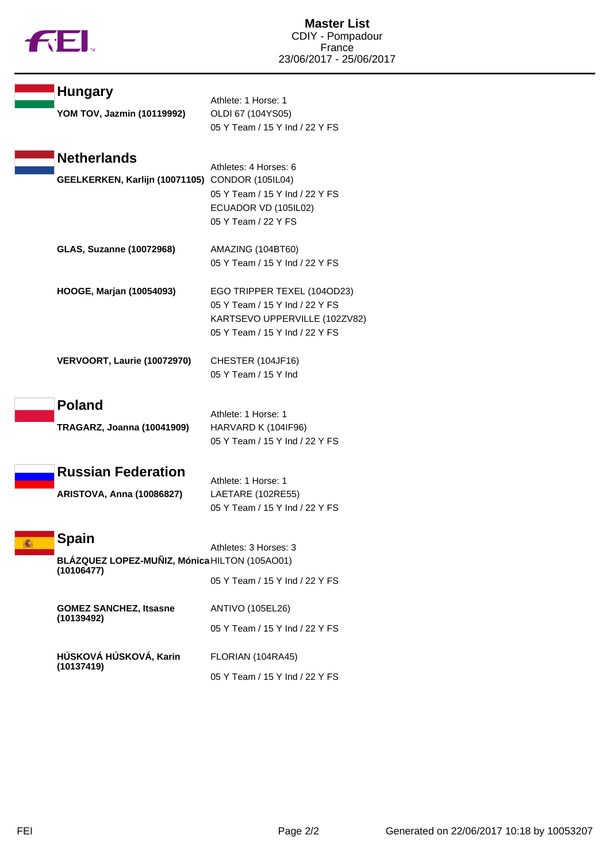

|  | <b>Hungary</b><br>YOM TOV, Jazmin (10119992)                | Athlete: 1 Horse: 1<br>OLDI 67 (104YS05)                                                                                         |
|--|-------------------------------------------------------------|----------------------------------------------------------------------------------------------------------------------------------|
|  |                                                             | 05 Y Team / 15 Y Ind / 22 Y FS                                                                                                   |
|  | <b>Netherlands</b>                                          | Athletes: 4 Horses: 6                                                                                                            |
|  | GEELKERKEN, Karlijn (10071105)                              | <b>CONDOR (105IL04)</b><br>05 Y Team / 15 Y Ind / 22 Y FS<br>ECUADOR VD (105IL02)<br>05 Y Team / 22 Y FS                         |
|  | <b>GLAS, Suzanne (10072968)</b>                             | AMAZING (104BT60)<br>05 Y Team / 15 Y Ind / 22 Y FS                                                                              |
|  | HOOGE, Marjan (10054093)                                    | EGO TRIPPER TEXEL (104OD23)<br>05 Y Team / 15 Y Ind / 22 Y FS<br>KARTSEVO UPPERVILLE (102ZV82)<br>05 Y Team / 15 Y Ind / 22 Y FS |
|  | VERVOORT, Laurie (10072970)                                 | CHESTER (104JF16)<br>05 Y Team / 15 Y Ind                                                                                        |
|  | <b>Poland</b>                                               | Athlete: 1 Horse: 1                                                                                                              |
|  | <b>TRAGARZ, Joanna (10041909)</b>                           | HARVARD K (104IF96)<br>05 Y Team / 15 Y Ind / 22 Y FS                                                                            |
|  | <b>Russian Federation</b>                                   | Athlete: 1 Horse: 1                                                                                                              |
|  | <b>ARISTOVA, Anna (10086827)</b>                            | LAETARE (102RE55)<br>05 Y Team / 15 Y Ind / 22 Y FS                                                                              |
|  | Spain                                                       | Athletes: 3 Horses: 3                                                                                                            |
|  | BLÁZQUEZ LOPEZ-MUÑIZ, Mónica HILTON (105AO01)<br>(10106477) |                                                                                                                                  |
|  |                                                             | 05 Y Team / 15 Y Ind / 22 Y FS                                                                                                   |
|  | <b>GOMEZ SANCHEZ, Itsasne</b><br>(10139492)                 | <b>ANTIVO (105EL26)</b>                                                                                                          |
|  |                                                             | 05 Y Team / 15 Y Ind / 22 Y FS                                                                                                   |
|  | HÚSKOVÁ HÚSKOVÁ, Karin<br>(10137419)                        | FLORIAN (104RA45)                                                                                                                |
|  |                                                             | 05 Y Team / 15 Y Ind / 22 Y FS                                                                                                   |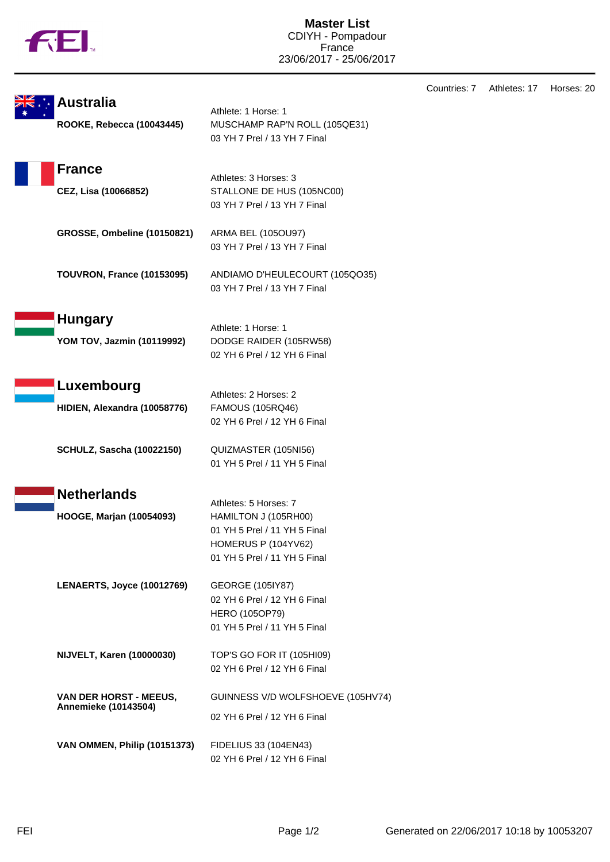|  | M |
|--|---|

|                                    |                                                       | Countries: 7 | Athletes: 17 | Horses: 20 |
|------------------------------------|-------------------------------------------------------|--------------|--------------|------------|
| <b>Australia</b>                   | Athlete: 1 Horse: 1                                   |              |              |            |
| ROOKE, Rebecca (10043445)          | MUSCHAMP RAP'N ROLL (105QE31)                         |              |              |            |
|                                    | 03 YH 7 Prel / 13 YH 7 Final                          |              |              |            |
| <b>France</b>                      |                                                       |              |              |            |
|                                    | Athletes: 3 Horses: 3                                 |              |              |            |
| CEZ, Lisa (10066852)               | STALLONE DE HUS (105NC00)                             |              |              |            |
|                                    | 03 YH 7 Prel / 13 YH 7 Final                          |              |              |            |
| <b>GROSSE, Ombeline (10150821)</b> | ARMA BEL (105OU97)                                    |              |              |            |
|                                    | 03 YH 7 Prel / 13 YH 7 Final                          |              |              |            |
| <b>TOUVRON, France (10153095)</b>  | ANDIAMO D'HEULECOURT (105QO35)                        |              |              |            |
|                                    | 03 YH 7 Prel / 13 YH 7 Final                          |              |              |            |
| <b>Hungary</b>                     |                                                       |              |              |            |
|                                    | Athlete: 1 Horse: 1                                   |              |              |            |
| YOM TOV, Jazmin (10119992)         | DODGE RAIDER (105RW58)                                |              |              |            |
|                                    | 02 YH 6 Prel / 12 YH 6 Final                          |              |              |            |
| Luxembourg                         |                                                       |              |              |            |
| HIDIEN, Alexandra (10058776)       | Athletes: 2 Horses: 2<br><b>FAMOUS (105RQ46)</b>      |              |              |            |
|                                    | 02 YH 6 Prel / 12 YH 6 Final                          |              |              |            |
| <b>SCHULZ, Sascha (10022150)</b>   | QUIZMASTER (105NI56)                                  |              |              |            |
|                                    | 01 YH 5 Prel / 11 YH 5 Final                          |              |              |            |
| <b>Netherlands</b>                 |                                                       |              |              |            |
|                                    | Athletes: 5 Horses: 7                                 |              |              |            |
| HOOGE, Marjan (10054093)           | HAMILTON J (105RH00)                                  |              |              |            |
|                                    | 01 YH 5 Prel / 11 YH 5 Final                          |              |              |            |
|                                    | HOMERUS P (104YV62)                                   |              |              |            |
|                                    | 01 YH 5 Prel / 11 YH 5 Final                          |              |              |            |
| LENAERTS, Joyce (10012769)         | <b>GEORGE (105IY87)</b>                               |              |              |            |
|                                    | 02 YH 6 Prel / 12 YH 6 Final                          |              |              |            |
|                                    | HERO (105OP79)                                        |              |              |            |
|                                    | 01 YH 5 Prel / 11 YH 5 Final                          |              |              |            |
| <b>NIJVELT, Karen (10000030)</b>   | TOP'S GO FOR IT (105HI09)                             |              |              |            |
|                                    | 02 YH 6 Prel / 12 YH 6 Final                          |              |              |            |
| VAN DER HORST - MEEUS,             | GUINNESS V/D WOLFSHOEVE (105HV74)                     |              |              |            |
| <b>Annemieke (10143504)</b>        | 02 YH 6 Prel / 12 YH 6 Final                          |              |              |            |
|                                    |                                                       |              |              |            |
| VAN OMMEN, Philip (10151373)       | FIDELIUS 33 (104EN43)<br>02 YH 6 Prel / 12 YH 6 Final |              |              |            |
|                                    |                                                       |              |              |            |